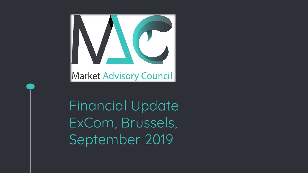

Financial Update ExCom, Brussels, September 2019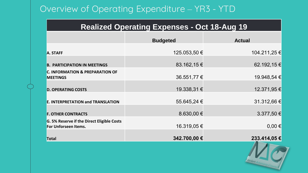# Overview of Operating Expenditure – YR3 - YTD

#### **Realized Operating Expenses - Oct 18-Aug 19**

|                                                                    | <b>Budgeted</b> | <b>Actual</b> |
|--------------------------------------------------------------------|-----------------|---------------|
| A. STAFF                                                           | 125.053,50 €    | 104.211,25 €  |
| <b>B. PARTICIPATION IN MEETINGS</b>                                | 83.162,15 €     | 62.192,15 €   |
| <b>C. INFORMATION &amp; PREPARATION OF</b><br><b>MEETINGS</b>      | 36.551,77 €     | 19.948,54 €   |
| <b>D. OPERATING COSTS</b>                                          | 19.338,31 €     | 12.371,95 €   |
| <b>E. INTERPRETATION and TRANSLATION</b>                           | 55.645,24 €     | 31.312,66 €   |
| <b>F. OTHER CONTRACTS</b>                                          | 8.630,00 $\in$  | 3.377,50 €    |
| G. 5% Reserve if the Direct Eligible Costs<br>For Unforseen Items. | 16.319,05€      | $0,00 \in$    |
| <b>Total</b>                                                       | 342.700,00 €    | 233.414,05 €  |

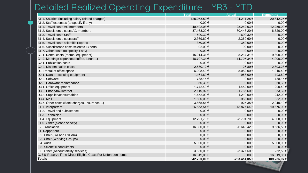# Detailed Realized Operating Expenditure – YR3 - YTD

|                                                                 | <b>Total</b> | <b>Actual</b>     | Remaining      |
|-----------------------------------------------------------------|--------------|-------------------|----------------|
| A1.1. Salaries (including salary related charges)               | 125.053,50 € | $-104.211,25 \in$ | 20.842,25 €    |
| A1.2. Staff expenses (to specify if any)                        | $0,00 \in$   | $0,00 \in$        | $0,00 \in$     |
| B1.1. Travel costs AC members                                   | 40.492,03€   | -28.242,03 €      | 12.250,00 €    |
| B1.2. Subsistence costs AC members                              | 37.168,20€   | $-30.448,20€$     | 6.720,00 €     |
| B1.3. Travel costs Staff                                        | 690,32€      | -690,32€          | $0,00 \in$     |
| B1.4. Subsistence costs-staff                                   | 2.369,60 €   | $-2.369,60 \in$   | $0,00 \in$     |
| B1.5. Travel costs scientific Experts                           | 350,00€      | -350,00€          | $0,00 \in$     |
| B1.6. Substistence costs scientifc Experts                      | 92,00€       | -92,00 €          | $0,00 \in$     |
| B1.7. Other costs (to specify if any)                           | $0,00 \in$   | $0,00 \in$        | $0,00 \in$     |
| C1.1. Rental costs (rooms, equipment)                           | 15.014,31 €  | $-5.214,31 \in$   | 9.800,00 $\in$ |
| C1.2. Meetings expenses (coffee, lunch)                         | 18.707,34 €  | -14.707,34 €      | 4.000,00 €     |
| C2.1. Publication costs                                         | $0,00 \in$   | $0,00 \in$        | $0,00 \in$     |
| C2.2. Dissemination costs                                       | 2.830,12€    | -26,89€           | 2.803,23 €     |
| D1. Rental of office space                                      | 6.098,40€    | -5.082,00 €       | 1.016,40 €     |
| D2.1. Data processing equipment                                 | 1.161,60 €   | -968,00 €         | 193,60 €       |
| D2.2. Software                                                  | 738,15€      | $0,00 \in$        | 738,15 €       |
| D2.3. Hardware maintenance                                      | 360,30€      | $0,00 \in$        | 360,30 €       |
| D3.1. Office equipment                                          | 1.742,40 €   | $-1.452,00 \in$   | 290,40 €       |
| D3.2. Phone/fax/internet                                        | 2.119,92€    | -1.766,60 €       | 353,32 €       |
| D3.3. Supplies/consumables                                      | 1.452,00 €   | $-1.210,00 \in$   | 242,00 €       |
| D <sub>3.4</sub> . Mail                                         | 1.800,00 €   | -968,00 €         | 832,00 €       |
| D3.5. Other costs (Bank charges, Insurance)                     | 3.865,54 €   | -925,35€          | 2.940,19 €     |
| E1.1. Interpreters                                              | 26.553,54 €  | -15.877,54 €      | 10.676,00 €    |
| E1.2. Travel and subsistence                                    | $0,00 \in$   | $0,00 \in$        | $0,00 \in$     |
| E1.3. Technician                                                | $0,00 \in$   | $0,00 \in$        | $0,00 \in$     |
| E1.4. Equipment                                                 | 12.791,70 €  | -8.791,70 €       | 4.000,00 €     |
| E1.5. Other (please specify)                                    | $0,00 \in$   | $0,00 \in$        | $0,00 \in$     |
| E2. Translation                                                 | 16.300,00 €  | $-6.643,42 \in$   | 9.656,58 €     |
| F1. Rapporteur                                                  | $0,00 \in$   | $0,00 \in$        | $0,00 \in$     |
| F.2. Chair (GA and ExCom)                                       | $0,00 \in$   | $0,00 \in$        | $0,00 \in$     |
| F.3. Chair (Working Groups)                                     | $0,00 \in$   | $0,00 \in$        | $0,00 \in$     |
| F.4. Audit                                                      | 5.000,00 €   | $0,00 \in$        | 5.000,00 €     |
| F.5. Scientific consultants                                     | $0,00 \in$   | $0,00 \in$        | $0,00 \in$     |
| F.6. Other (Accountability services)                            | 3.630,00 €   | $-3.377,50$ €     | 252,50 €       |
| G. 5% Reserve if the Direct Eligible Costs For Unforseen Items. | 16.319,05€   | $0,00 \in$        | 16.319,05 €    |
| Totals                                                          | 342.700,00 € | -233.414,05 €     | 109.285,97 €   |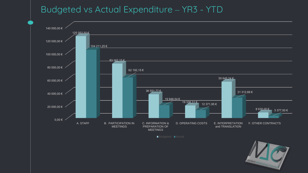### Budgeted vs Actual Expenditure – YR3 - YTD



Budgeted **Actual** 

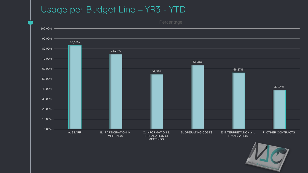# Usage per Budget Line – YR3 - YTD